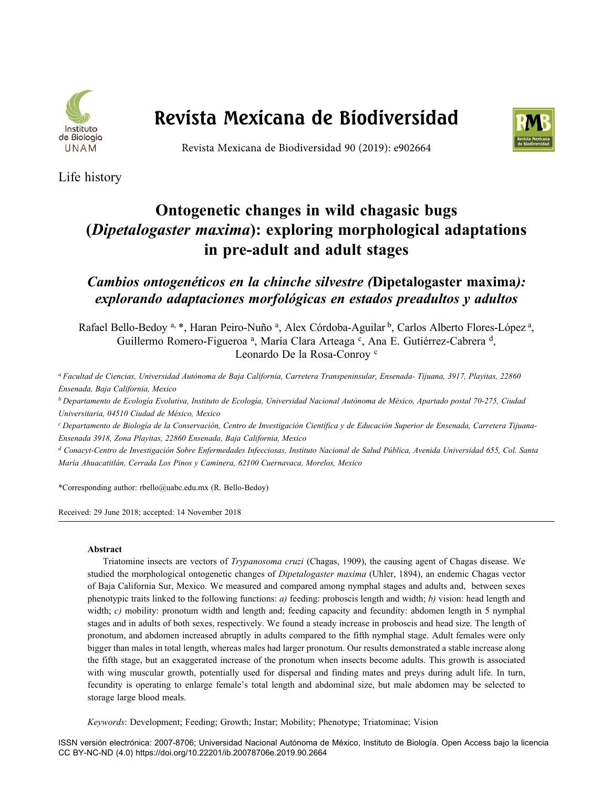

# **Revista Mexicana de Biodiversidad**



Revista Mexicana de Biodiversidad 90 (2019): e902664

Life history

# **Ontogenetic changes in wild chagasic bugs (***Dipetalogaster maxima***): exploring morphological adaptations in pre-adult and adult stages**

*Cambios ontogenéticos en la chinche silvestre (***Dipetalogaster maxima***): explorando adaptaciones morfológicas en estados preadultos y adultos*

Rafael Bello-Bedoy<sup>a, \*</sup>, Haran Peiro-Nuño<sup>a</sup>, Alex Córdoba-Aguilar<sup>b</sup>, Carlos Alberto Flores-López<sup>a</sup>, Guillermo Romero-Figueroa<sup>a</sup>, María Clara Arteaga<sup>c</sup>, Ana E. Gutiérrez-Cabrera<sup>d</sup>, Leonardo De la Rosa-Conroy <sup>c</sup>

*a Facultad de Ciencias, Universidad Autónoma de Baja California, Carretera Transpeninsular, Ensenada- Tijuana, 3917, Playitas, 22860 Ensenada, Baja California, Mexico* 

*b Departamento de Ecología Evolutiva, Instituto de Ecología, Universidad Nacional Autónoma de México, Apartado postal 70-275, Ciudad Universitaria, 04510 Ciudad de México, Mexico*

*c Departamento de Biología de la Conservación, Centro de Investigación Científica y de Educación Superior de Ensenada, Carretera Tijuana-Ensenada 3918, Zona Playitas, 22860 Ensenada, Baja California, Mexico*

*d Conacyt-Centro de Investigación Sobre Enfermedades Infecciosas, Instituto Nacional de Salud Pública, Avenida Universidad 655, Col. Santa María Ahuacatitlán, Cerrada Los Pinos y Caminera, 62100 Cuernavaca, Morelos, Mexico*

\*Corresponding author: rbello@uabc.edu.mx (R. Bello-Bedoy)

Received: 29 June 2018; accepted: 14 November 2018

### **Abstract**

Triatomine insects are vectors of *Trypanosoma cruzi* (Chagas, 1909), the causing agent of Chagas disease. We studied the morphological ontogenetic changes of *Dipetalogaster maxima* (Uhler, 1894), an endemic Chagas vector of Baja California Sur, Mexico. We measured and compared among nymphal stages and adults and, between sexes phenotypic traits linked to the following functions: *a)* feeding: proboscis length and width; *b)* vision: head length and width; *c*) mobility: pronotum width and length and; feeding capacity and fecundity: abdomen length in 5 nymphal stages and in adults of both sexes, respectively. We found a steady increase in proboscis and head size. The length of pronotum, and abdomen increased abruptly in adults compared to the fifth nymphal stage. Adult females were only bigger than males in total length, whereas males had larger pronotum. Our results demonstrated a stable increase along the fifth stage, but an exaggerated increase of the pronotum when insects become adults. This growth is associated with wing muscular growth, potentially used for dispersal and finding mates and preys during adult life. In turn, fecundity is operating to enlarge female's total length and abdominal size, but male abdomen may be selected to storage large blood meals.

*Keywords*: Development; Feeding; Growth; Instar; Mobility; Phenotype; Triatominae; Vision

ISSN versión electrónica: 2007-8706; Universidad Nacional Autónoma de México, Instituto de Biología. Open Access bajo la licencia CC BY-NC-ND (4.0) https://doi.org/10.22201/ib.20078706e.2019.90.2664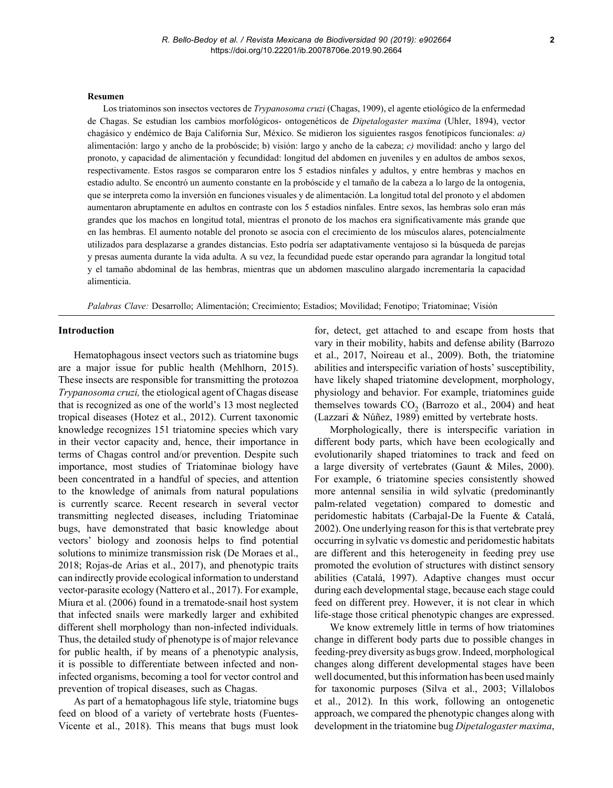#### **Resumen**

Los triatominos son insectos vectores de *Trypanosoma cruzi* (Chagas, 1909), el agente etiológico de la enfermedad de Chagas. Se estudian los cambios morfológicos- ontogenéticos de *Dipetalogaster maxima* (Uhler, 1894), vector chagásico y endémico de Baja California Sur, México. Se midieron los siguientes rasgos fenotípicos funcionales: *a)* alimentación: largo y ancho de la probóscide; b) visión: largo y ancho de la cabeza; *c)* movilidad: ancho y largo del pronoto, y capacidad de alimentación y fecundidad: longitud del abdomen en juveniles y en adultos de ambos sexos, respectivamente. Estos rasgos se compararon entre los 5 estadios ninfales y adultos, y entre hembras y machos en estadio adulto. Se encontró un aumento constante en la probóscide y el tamaño de la cabeza a lo largo de la ontogenia, que se interpreta como la inversión en funciones visuales y de alimentación. La longitud total del pronoto y el abdomen aumentaron abruptamente en adultos en contraste con los 5 estadios ninfales. Entre sexos, las hembras solo eran más grandes que los machos en longitud total, mientras el pronoto de los machos era significativamente más grande que en las hembras. El aumento notable del pronoto se asocia con el crecimiento de los músculos alares, potencialmente utilizados para desplazarse a grandes distancias. Esto podría ser adaptativamente ventajoso si la búsqueda de parejas y presas aumenta durante la vida adulta. A su vez, la fecundidad puede estar operando para agrandar la longitud total y el tamaño abdominal de las hembras, mientras que un abdomen masculino alargado incrementaría la capacidad alimenticia.

*Palabras Clave:* Desarrollo; Alimentación; Crecimiento; Estadios; Movilidad; Fenotipo; Triatominae; Visión

#### **Introduction**

Hematophagous insect vectors such as triatomine bugs are a major issue for public health (Mehlhorn, 2015). These insects are responsible for transmitting the protozoa *Trypanosoma cruzi,* the etiological agent of Chagas disease that is recognized as one of the world's 13 most neglected tropical diseases (Hotez et al., 2012). Current taxonomic knowledge recognizes 151 triatomine species which vary in their vector capacity and, hence, their importance in terms of Chagas control and/or prevention. Despite such importance, most studies of Triatominae biology have been concentrated in a handful of species, and attention to the knowledge of animals from natural populations is currently scarce. Recent research in several vector transmitting neglected diseases, including Triatominae bugs, have demonstrated that basic knowledge about vectors' biology and zoonosis helps to find potential solutions to minimize transmission risk (De Moraes et al., 2018; Rojas-de Arias et al., 2017), and phenotypic traits can indirectly provide ecological information to understand vector-parasite ecology (Nattero et al., 2017). For example, Miura et al. (2006) found in a trematode-snail host system that infected snails were markedly larger and exhibited different shell morphology than non-infected individuals. Thus, the detailed study of phenotype is of major relevance for public health, if by means of a phenotypic analysis, it is possible to differentiate between infected and noninfected organisms, becoming a tool for vector control and prevention of tropical diseases, such as Chagas.

As part of a hematophagous life style, triatomine bugs feed on blood of a variety of vertebrate hosts (Fuentes-Vicente et al., 2018). This means that bugs must look for, detect, get attached to and escape from hosts that vary in their mobility, habits and defense ability (Barrozo et al., 2017, Noireau et al., 2009). Both, the triatomine abilities and interspecific variation of hosts' susceptibility, have likely shaped triatomine development, morphology, physiology and behavior. For example, triatomines guide themselves towards  $CO<sub>2</sub>$  (Barrozo et al., 2004) and heat (Lazzari & Núñez, 1989) emitted by vertebrate hosts.

Morphologically, there is interspecific variation in different body parts, which have been ecologically and evolutionarily shaped triatomines to track and feed on a large diversity of vertebrates (Gaunt & Miles, 2000). For example, 6 triatomine species consistently showed more antennal sensilia in wild sylvatic (predominantly palm-related vegetation) compared to domestic and peridomestic habitats (Carbajal-De la Fuente & Catalá, 2002). One underlying reason for this is that vertebrate prey occurring in sylvatic vs domestic and peridomestic habitats are different and this heterogeneity in feeding prey use promoted the evolution of structures with distinct sensory abilities (Catalá, 1997). Adaptive changes must occur during each developmental stage, because each stage could feed on different prey. However, it is not clear in which life-stage those critical phenotypic changes are expressed.

We know extremely little in terms of how triatomines change in different body parts due to possible changes in feeding-prey diversity as bugs grow. Indeed, morphological changes along different developmental stages have been well documented, but this information has been used mainly for taxonomic purposes (Silva et al., 2003; Villalobos et al., 2012). In this work, following an ontogenetic approach, we compared the phenotypic changes along with development in the triatomine bug *Dipetalogaster maxima*,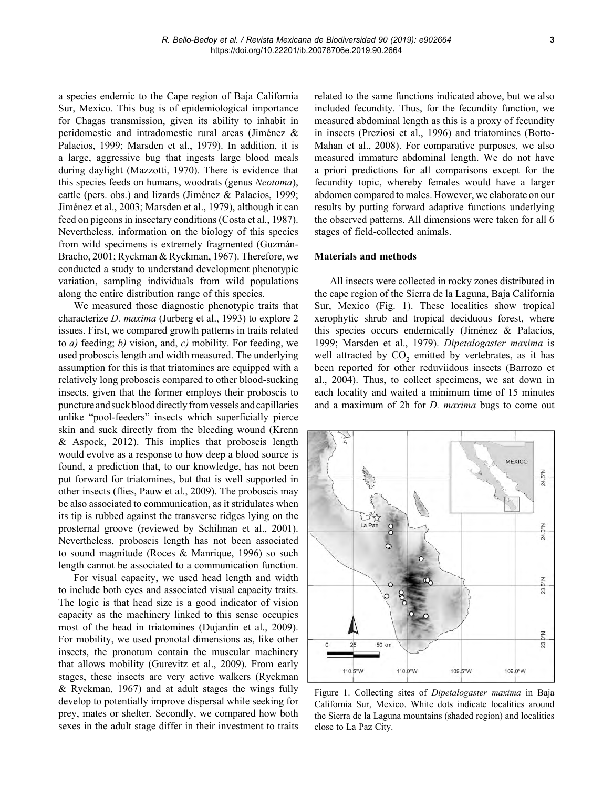a species endemic to the Cape region of Baja California Sur, Mexico. This bug is of epidemiological importance for Chagas transmission, given its ability to inhabit in peridomestic and intradomestic rural areas (Jiménez & Palacios, 1999; Marsden et al., 1979). In addition, it is a large, aggressive bug that ingests large blood meals during daylight (Mazzotti, 1970). There is evidence that this species feeds on humans, woodrats (genus *Neotoma*), cattle (pers. obs.) and lizards (Jiménez & Palacios, 1999; Jiménez et al., 2003; Marsden et al., 1979), although it can feed on pigeons in insectary conditions (Costa et al., 1987). Nevertheless, information on the biology of this species from wild specimens is extremely fragmented (Guzmán-Bracho, 2001; Ryckman & Ryckman, 1967). Therefore, we conducted a study to understand development phenotypic variation, sampling individuals from wild populations along the entire distribution range of this species.

We measured those diagnostic phenotypic traits that characterize *D. maxima* (Jurberg et al., 1993) to explore 2 issues. First, we compared growth patterns in traits related to *a)* feeding; *b)* vision, and, *c)* mobility. For feeding, we used proboscis length and width measured. The underlying assumption for this is that triatomines are equipped with a relatively long proboscis compared to other blood-sucking insects, given that the former employs their proboscis to puncture and suck blood directly from vessels and capillaries unlike "pool-feeders" insects which superficially pierce skin and suck directly from the bleeding wound (Krenn & Aspock, 2012). This implies that proboscis length would evolve as a response to how deep a blood source is found, a prediction that, to our knowledge, has not been put forward for triatomines, but that is well supported in other insects (flies, Pauw et al., 2009). The proboscis may be also associated to communication, as it stridulates when its tip is rubbed against the transverse ridges lying on the prosternal groove (reviewed by Schilman et al., 2001). Nevertheless, proboscis length has not been associated to sound magnitude (Roces & Manrique, 1996) so such length cannot be associated to a communication function.

For visual capacity, we used head length and width to include both eyes and associated visual capacity traits. The logic is that head size is a good indicator of vision capacity as the machinery linked to this sense occupies most of the head in triatomines (Dujardin et al., 2009). For mobility, we used pronotal dimensions as, like other insects, the pronotum contain the muscular machinery that allows mobility (Gurevitz et al., 2009). From early stages, these insects are very active walkers (Ryckman & Ryckman, 1967) and at adult stages the wings fully develop to potentially improve dispersal while seeking for prey, mates or shelter. Secondly, we compared how both sexes in the adult stage differ in their investment to traits

related to the same functions indicated above, but we also included fecundity. Thus, for the fecundity function, we measured abdominal length as this is a proxy of fecundity in insects (Preziosi et al., 1996) and triatomines (Botto-Mahan et al., 2008). For comparative purposes, we also measured immature abdominal length. We do not have a priori predictions for all comparisons except for the fecundity topic, whereby females would have a larger abdomen compared to males. However, we elaborate on our results by putting forward adaptive functions underlying the observed patterns. All dimensions were taken for all 6 stages of field-collected animals.

### **Materials and methods**

All insects were collected in rocky zones distributed in the cape region of the Sierra de la Laguna, Baja California Sur, Mexico (Fig. 1). These localities show tropical xerophytic shrub and tropical deciduous forest, where this species occurs endemically (Jiménez & Palacios, 1999; Marsden et al., 1979). *Dipetalogaster maxima* is well attracted by  $CO<sub>2</sub>$  emitted by vertebrates, as it has been reported for other reduviidous insects (Barrozo et al., 2004). Thus, to collect specimens, we sat down in each locality and waited a minimum time of 15 minutes and a maximum of 2h for *D. maxima* bugs to come out



Figure 1. Collecting sites of *Dipetalogaster maxima* in Baja California Sur, Mexico. White dots indicate localities around the Sierra de la Laguna mountains (shaded region) and localities close to La Paz City.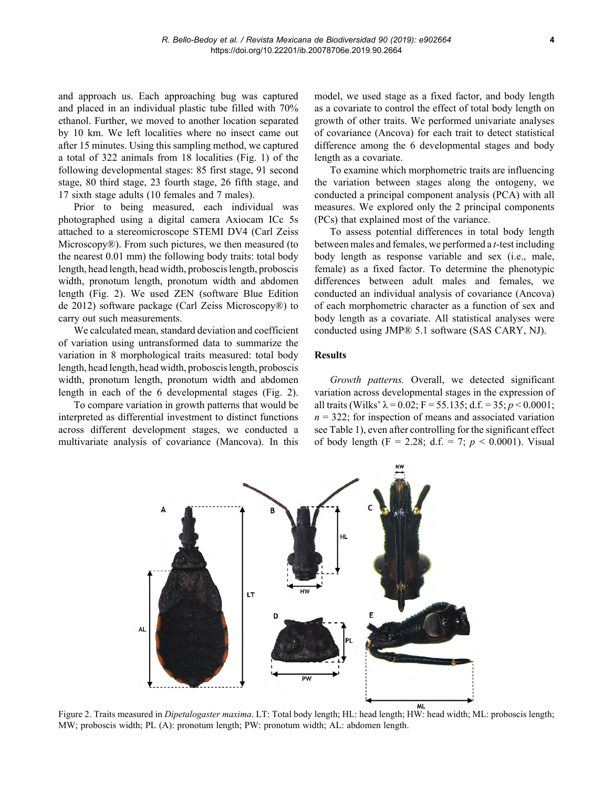and approach us. Each approaching bug was captured and placed in an individual plastic tube filled with 70% ethanol. Further, we moved to another location separated by 10 km. We left localities where no insect came out after 15 minutes. Using this sampling method, we captured a total of 322 animals from 18 localities (Fig. 1) of the following developmental stages: 85 first stage, 91 second stage, 80 third stage, 23 fourth stage, 26 fifth stage, and 17 sixth stage adults (10 females and 7 males).

Prior to being measured, each individual was photographed using a digital camera Axiocam ICc 5s attached to a stereomicroscope STEMI DV4 (Carl Zeiss Microscopy®). From such pictures, we then measured (to the nearest 0.01 mm) the following body traits: total body length, head length, head width, proboscis length, proboscis width, pronotum length, pronotum width and abdomen length (Fig. 2). We used ZEN (software Blue Edition de 2012) software package (Carl Zeiss Microscopy®) to carry out such measurements.

We calculated mean, standard deviation and coefficient of variation using untransformed data to summarize the variation in 8 morphological traits measured: total body length, head length, head width, proboscis length, proboscis width, pronotum length, pronotum width and abdomen length in each of the 6 developmental stages (Fig. 2).

To compare variation in growth patterns that would be interpreted as differential investment to distinct functions across different development stages, we conducted a multivariate analysis of covariance (Mancova). In this

model, we used stage as a fixed factor, and body length as a covariate to control the effect of total body length on growth of other traits. We performed univariate analyses of covariance (Ancova) for each trait to detect statistical difference among the 6 developmental stages and body length as a covariate.

To examine which morphometric traits are influencing the variation between stages along the ontogeny, we conducted a principal component analysis (PCA) with all measures. We explored only the 2 principal components (PCs) that explained most of the variance.

To assess potential differences in total body length between males and females, we performed a *t*-test including body length as response variable and sex (i.e., male, female) as a fixed factor. To determine the phenotypic differences between adult males and females, we conducted an individual analysis of covariance (Ancova) of each morphometric character as a function of sex and body length as a covariate. All statistical analyses were conducted using JMP® 5.1 software (SAS CARY, NJ).

#### **Results**

*Growth patterns.* Overall, we detected significant variation across developmental stages in the expression of all traits (Wilks'  $\lambda$  = 0.02; F = 55.135; d.f. = 35; *p* < 0.0001;  $n = 322$ ; for inspection of means and associated variation see Table 1), even after controlling for the significant effect of body length (F = 2.28; d.f. = 7; *p* < 0.0001). Visual



Figure 2. Traits measured in *Dipetalogaster maxima*. LT: Total body length; HL: head length; HW: head width; ML: proboscis length; MW; proboscis width; PL (A): pronotum length; PW: pronotum width; AL: abdomen length.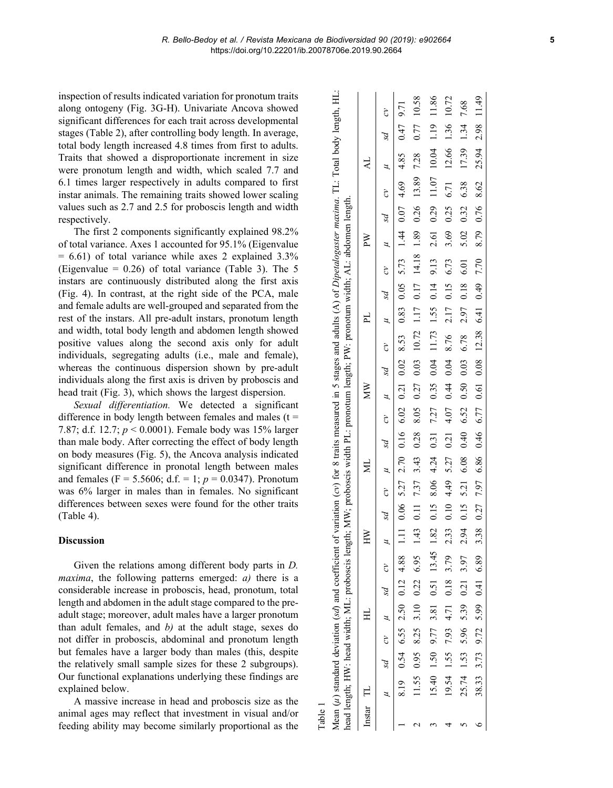inspection of results indicated variation for pronotum traits along ontogeny (Fig. 3G-H). Univariate Ancova showed significant differences for each trait across developmental stages (Table 2), after controlling body length. In average, total body length increased 4.8 times from first to adults. Traits that showed a disproportionate increment in size were pronotum length and width, which scaled 7.7 and 6.1 times larger respectively in adults compared to first instar animals. The remaining traits showed lower scaling values such as 2.7 and 2.5 for proboscis length and width respectively.

The first 2 components significantly explained 98.2% of total variance. Axes 1 accounted for 95.1% (Eigenvalue  $= 6.61$ ) of total variance while axes 2 explained 3.3% (Eigenvalue =  $0.26$ ) of total variance (Table 3). The 5 instars are continuously distributed along the first axis (Fig. 4). In contrast, at the right side of the PCA, male and female adults are well-grouped and separated from the rest of the instars. All pre-adult instars, pronotum length and width, total body length and abdomen length showed positive values along the second axis only for adult individuals, segregating adults (i.e., male and female), whereas the continuous dispersion shown by pre-adult individuals along the first axis is driven by proboscis and head trait (Fig. 3), which shows the largest dispersion.

*Sexual differentiation.* We detected a significant difference in body length between females and males ( $t =$ 7.87; d.f. 12.7; *p* < 0.0001). Female body was 15% larger than male body. After correcting the effect of body length on body measures (Fig. 5), the Ancova analysis indicated significant difference in pronotal length between males and females (F = 5.5606; d.f. = 1; *p* = 0.0347). Pronotum was 6% larger in males than in females. No significant differences between sexes were found for the other traits (Table 4).

#### **Discussion**

Given the relations among different body parts in *D. maxima*, the following patterns emerged: *a)* there is a considerable increase in proboscis, head, pronotum, total length and abdomen in the adult stage compared to the preadult stage; moreover, adult males have a larger pronotum than adult females, and *b)* at the adult stage, sexes do not differ in proboscis, abdominal and pronotum length but females have a larger body than males (this, despite the relatively small sample sizes for these 2 subgroups). Our functional explanations underlying these findings are explained below.

A massive increase in head and proboscis size as the animal ages may reflect that investment in visual and/or feeding ability may become similarly proportional as the

Table 1

|                       | ead length; HW: head width; ML: proboscis length; MW; proboscis width PL: pronotum length; PW: pronotum width; AL: abdomen length.<br>Mean $(\mu)$ standard deviation (sd) and coefficient |                                             |  |      |  |                                      |  |    |                                                              |              |  |                |             |                                        | of variation $(cv)$ for 8 traits measured in 5 stages and adults $(A)$ of Dipetalogaster maxima. TL: Total body length, HL: |       |               |
|-----------------------|--------------------------------------------------------------------------------------------------------------------------------------------------------------------------------------------|---------------------------------------------|--|------|--|--------------------------------------|--|----|--------------------------------------------------------------|--------------|--|----------------|-------------|----------------------------------------|-----------------------------------------------------------------------------------------------------------------------------|-------|---------------|
| $_{\text{Instar}}$ TL |                                                                                                                                                                                            |                                             |  |      |  | $\overline{\mathbf{z}}$              |  | МW |                                                              | $\mathbb{F}$ |  | ΡW             |             |                                        | $\overline{A}$                                                                                                              |       |               |
|                       |                                                                                                                                                                                            | $ad$ $cy$ $\mu$ $sd$ $cy$                   |  |      |  | $ad$ $cv$ $\mu$ $sd$ $cv$ $\mu$ $sd$ |  |    |                                                              |              |  |                |             | $\mu$ $\mu$ $sd$ $\mu$ $sd$ $cv$ $\mu$ |                                                                                                                             | $p_S$ | $\mathcal{L}$ |
|                       |                                                                                                                                                                                            | 8.19 0.54 6.55 2.50 0.12 4.88               |  |      |  |                                      |  |    |                                                              |              |  |                |             |                                        | 1.11 0.06 5.27 2.70 0.16 6.02 0.21 0.21 0.23 0.83 0.83 0.44 0.07 4.69 4.85 0.47 9.71                                        |       |               |
|                       |                                                                                                                                                                                            | $11.55$ 0.95 8.25 3.10 0.22 6.95            |  |      |  |                                      |  |    |                                                              |              |  |                |             |                                        | 1.43 0.11 7.57 3.43 0.28 8.05 0.27 0.03 10.17 1.17 0.17 14.18 1.89 0.26 13.89 7.28 0.77 10.58                               |       |               |
|                       |                                                                                                                                                                                            | $15.40$ $1.50$ $9.77$ $3.81$ $0.51$ $13.45$ |  |      |  |                                      |  |    |                                                              |              |  |                |             |                                        |                                                                                                                             |       | 11.86         |
|                       |                                                                                                                                                                                            | $19.54$ 1.55 7.93 4.71 0.18 3.79            |  | 2.33 |  | $0.10$ 4.49 5.27 0.21 4.07 0.44 0.04 |  |    | 8.76 2.17 0.15 6.73                                          |              |  | 3.69           | $0.25$ 6.71 |                                        | 12.66 1.36 10.72                                                                                                            |       |               |
|                       |                                                                                                                                                                                            | 25.74 1.53 5.96 5.39 0.21 3.97              |  |      |  |                                      |  |    | 2.94 0.15 5.21 6.08 0.40 6.52 0.50 0.03 6.78 2.97 0.18 6.01  |              |  | 5.02           | 0.32        | 6.38                                   | 17.39 1.34 7.68                                                                                                             |       |               |
|                       |                                                                                                                                                                                            | 38.33 3.73 9.72 5.99 0.41 6.89              |  |      |  |                                      |  |    | 3.38 0.27 7.97 6.86 0.46 6.77 0.61 0.08 12.38 6.41 0.49 7.70 |              |  | 8.79 0.76 8.62 |             |                                        | 25.94 2.98 11.49                                                                                                            |       |               |
|                       |                                                                                                                                                                                            |                                             |  |      |  |                                      |  |    |                                                              |              |  |                |             |                                        |                                                                                                                             |       |               |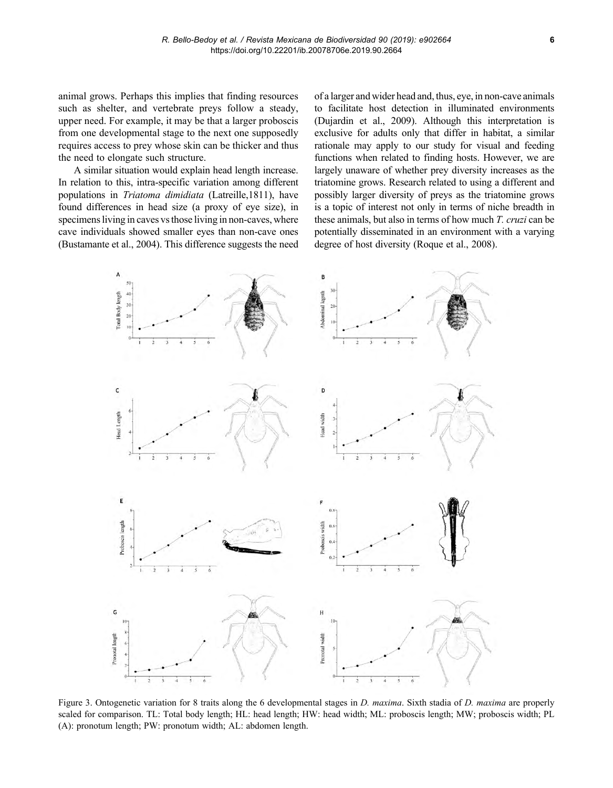animal grows. Perhaps this implies that finding resources such as shelter, and vertebrate preys follow a steady, upper need. For example, it may be that a larger proboscis from one developmental stage to the next one supposedly requires access to prey whose skin can be thicker and thus the need to elongate such structure.

A similar situation would explain head length increase. In relation to this, intra-specific variation among different populations in *Triatoma dimidiata* (Latreille,1811), have found differences in head size (a proxy of eye size), in specimens living in caves vs those living in non-caves, where cave individuals showed smaller eyes than non-cave ones (Bustamante et al., 2004). This difference suggests the need of a larger and wider head and, thus, eye, in non-cave animals to facilitate host detection in illuminated environments (Dujardin et al., 2009). Although this interpretation is exclusive for adults only that differ in habitat, a similar rationale may apply to our study for visual and feeding functions when related to finding hosts. However, we are largely unaware of whether prey diversity increases as the triatomine grows. Research related to using a different and possibly larger diversity of preys as the triatomine grows is a topic of interest not only in terms of niche breadth in these animals, but also in terms of how much *T. cruzi* can be potentially disseminated in an environment with a varying degree of host diversity (Roque et al., 2008).



Figure 3. Ontogenetic variation for 8 traits along the 6 developmental stages in *D. maxima*. Sixth stadia of *D. maxima* are properly scaled for comparison. TL: Total body length; HL: head length; HW: head width; ML: proboscis length; MW; proboscis width; PL (A): pronotum length; PW: pronotum width; AL: abdomen length.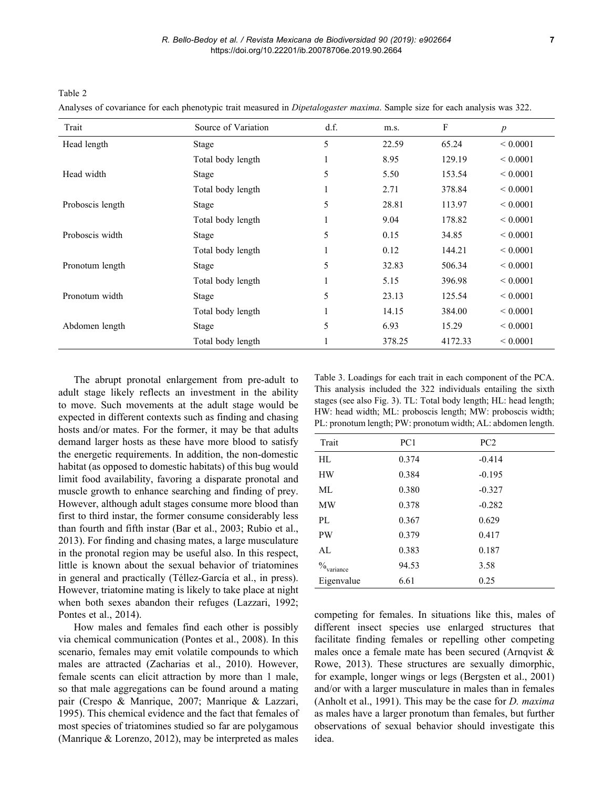Table 2

Analyses of covariance for each phenotypic trait measured in *Dipetalogaster maxima*. Sample size for each analysis was 322.

| Trait            | Source of Variation | df.     | m.s.   | F       | $\boldsymbol{p}$ |
|------------------|---------------------|---------|--------|---------|------------------|
| Head length      | Stage               | 5       | 22.59  | 65.24   | ${}< 0.0001$     |
|                  | Total body length   | 1       | 8.95   | 129.19  | ${}< 0.0001$     |
| Head width       | Stage               | 5       | 5.50   | 153.54  | ${}< 0.0001$     |
|                  | Total body length   |         | 2.71   | 378.84  | ${}< 0.0001$     |
| Proboscis length | Stage               | 5       | 28.81  | 113.97  | ${}< 0.0001$     |
|                  | Total body length   | $\perp$ | 9.04   | 178.82  | ${}< 0.0001$     |
| Proboscis width  | Stage               | 5       | 0.15   | 34.85   | ${}< 0.0001$     |
|                  | Total body length   |         | 0.12   | 144.21  | ${}< 0.0001$     |
| Pronotum length  | Stage               | 5       | 32.83  | 506.34  | ${}< 0.0001$     |
|                  | Total body length   | Ι.      | 5.15   | 396.98  | ${}< 0.0001$     |
| Pronotum width   | Stage               | 5       | 23.13  | 125.54  | ${}< 0.0001$     |
|                  | Total body length   |         | 14.15  | 384.00  | ${}< 0.0001$     |
| Abdomen length   | Stage               | 5       | 6.93   | 15.29   | ${}< 0.0001$     |
|                  | Total body length   |         | 378.25 | 4172.33 | ${}< 0.0001$     |

The abrupt pronotal enlargement from pre-adult to adult stage likely reflects an investment in the ability to move. Such movements at the adult stage would be expected in different contexts such as finding and chasing hosts and/or mates. For the former, it may be that adults demand larger hosts as these have more blood to satisfy the energetic requirements. In addition, the non-domestic habitat (as opposed to domestic habitats) of this bug would limit food availability, favoring a disparate pronotal and muscle growth to enhance searching and finding of prey. However, although adult stages consume more blood than first to third instar, the former consume considerably less than fourth and fifth instar (Bar et al., 2003; Rubio et al., 2013). For finding and chasing mates, a large musculature in the pronotal region may be useful also. In this respect, little is known about the sexual behavior of triatomines in general and practically (Téllez-García et al., in press). However, triatomine mating is likely to take place at night when both sexes abandon their refuges (Lazzari, 1992; Pontes et al., 2014).

How males and females find each other is possibly via chemical communication (Pontes et al., 2008). In this scenario, females may emit volatile compounds to which males are attracted (Zacharias et al., 2010). However, female scents can elicit attraction by more than 1 male, so that male aggregations can be found around a mating pair (Crespo & Manrique, 2007; Manrique & Lazzari, 1995). This chemical evidence and the fact that females of most species of triatomines studied so far are polygamous (Manrique & Lorenzo, 2012), may be interpreted as males

Table 3. Loadings for each trait in each component of the PCA. This analysis included the 322 individuals entailing the sixth stages (see also Fig. 3). TL: Total body length; HL: head length; HW: head width; ML: proboscis length; MW: proboscis width; PL: pronotum length; PW: pronotum width; AL: abdomen length.

| Trait                     | PC1   | PC <sub>2</sub> |
|---------------------------|-------|-----------------|
| HI.                       | 0.374 | $-0.414$        |
| <b>HW</b>                 | 0.384 | $-0.195$        |
| ML                        | 0.380 | $-0.327$        |
| <b>MW</b>                 | 0.378 | $-0.282$        |
| PI.                       | 0.367 | 0.629           |
| <b>PW</b>                 | 0.379 | 0.417           |
| AL                        | 0.383 | 0.187           |
| $\frac{0}{2}$<br>variance | 94.53 | 3.58            |
| Eigenvalue                | 6.61  | 0.25            |

competing for females. In situations like this, males of different insect species use enlarged structures that facilitate finding females or repelling other competing males once a female mate has been secured (Arnqvist & Rowe, 2013). These structures are sexually dimorphic, for example, longer wings or legs (Bergsten et al., 2001) and/or with a larger musculature in males than in females (Anholt et al., 1991). This may be the case for *D. maxima* as males have a larger pronotum than females, but further observations of sexual behavior should investigate this idea.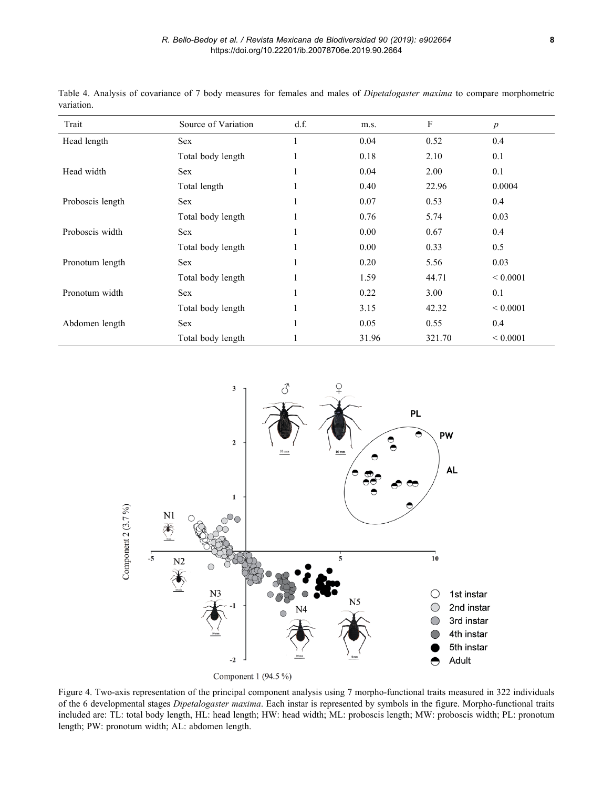| Trait            | Source of Variation | d.f. | m.s.  | $\boldsymbol{\mathrm{F}}$ | $\boldsymbol{p}$ |
|------------------|---------------------|------|-------|---------------------------|------------------|
| Head length      | <b>Sex</b>          |      | 0.04  | 0.52                      | 0.4              |
|                  | Total body length   | 1    | 0.18  | 2.10                      | 0.1              |
| Head width       | <b>Sex</b>          |      | 0.04  | 2.00                      | 0.1              |
|                  | Total length        |      | 0.40  | 22.96                     | 0.0004           |
| Proboscis length | <b>Sex</b>          |      | 0.07  | 0.53                      | 0.4              |
|                  | Total body length   |      | 0.76  | 5.74                      | 0.03             |
| Proboscis width  | Sex                 | 1    | 0.00  | 0.67                      | 0.4              |
|                  | Total body length   |      | 0.00  | 0.33                      | 0.5              |
| Pronotum length  | <b>Sex</b>          |      | 0.20  | 5.56                      | 0.03             |
|                  | Total body length   |      | 1.59  | 44.71                     | ${}< 0.0001$     |
| Pronotum width   | <b>Sex</b>          |      | 0.22  | 3.00                      | 0.1              |
|                  | Total body length   |      | 3.15  | 42.32                     | ${}< 0.0001$     |
| Abdomen length   | Sex                 |      | 0.05  | 0.55                      | 0.4              |
|                  | Total body length   |      | 31.96 | 321.70                    | ${}< 0.0001$     |

Table 4. Analysis of covariance of 7 body measures for females and males of *Dipetalogaster maxima* to compare morphometric variation.



Figure 4. Two-axis representation of the principal component analysis using 7 morpho-functional traits measured in 322 individuals of the 6 developmental stages *Dipetalogaster maxima*. Each instar is represented by symbols in the figure. Morpho-functional traits included are: TL: total body length, HL: head length; HW: head width; ML: proboscis length; MW: proboscis width; PL: pronotum length; PW: pronotum width; AL: abdomen length.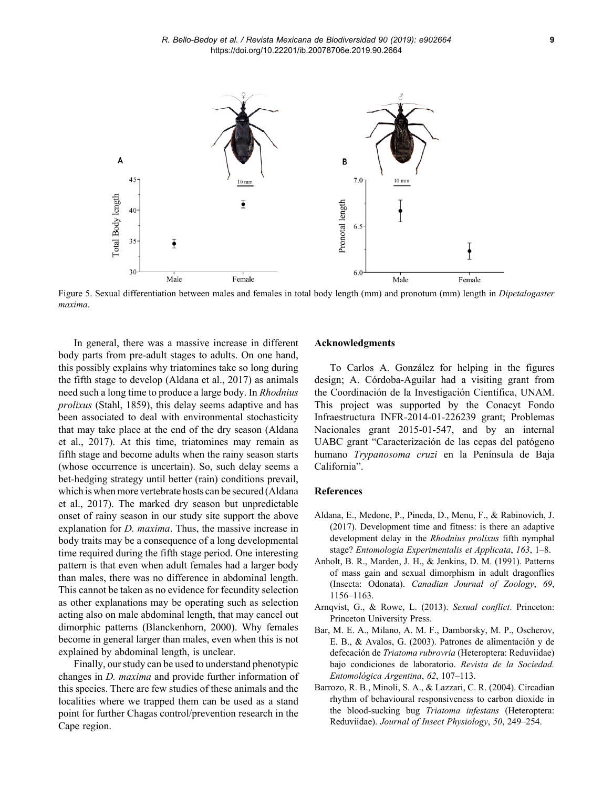

Figure 5. Sexual differentiation between males and females in total body length (mm) and pronotum (mm) length in *Dipetalogaster maxima*.

In general, there was a massive increase in different body parts from pre-adult stages to adults. On one hand, this possibly explains why triatomines take so long during the fifth stage to develop (Aldana et al., 2017) as animals need such a long time to produce a large body. In *Rhodnius prolixus* (Stahl, 1859), this delay seems adaptive and has been associated to deal with environmental stochasticity that may take place at the end of the dry season (Aldana et al., 2017). At this time, triatomines may remain as fifth stage and become adults when the rainy season starts (whose occurrence is uncertain). So, such delay seems a bet-hedging strategy until better (rain) conditions prevail, which is when more vertebrate hosts can be secured (Aldana et al., 2017). The marked dry season but unpredictable onset of rainy season in our study site support the above explanation for *D. maxima*. Thus, the massive increase in body traits may be a consequence of a long developmental time required during the fifth stage period. One interesting pattern is that even when adult females had a larger body than males, there was no difference in abdominal length. This cannot be taken as no evidence for fecundity selection as other explanations may be operating such as selection acting also on male abdominal length, that may cancel out dimorphic patterns (Blanckenhorn, 2000). Why females become in general larger than males, even when this is not explained by abdominal length, is unclear.

Finally, our study can be used to understand phenotypic changes in *D. maxima* and provide further information of this species. There are few studies of these animals and the localities where we trapped them can be used as a stand point for further Chagas control/prevention research in the Cape region.

## **Acknowledgments**

To Carlos A. González for helping in the figures design; A. Córdoba-Aguilar had a visiting grant from the Coordinación de la Investigación Científica, UNAM. This project was supported by the Conacyt Fondo Infraestructura INFR-2014-01-226239 grant; Problemas Nacionales grant 2015-01-547, and by an internal UABC grant "Caracterización de las cepas del patógeno humano *Trypanosoma cruzi* en la Península de Baja California".

#### **References**

- Aldana, E., Medone, P., Pineda, D., Menu, F., & Rabinovich, J. (2017). Development time and fitness: is there an adaptive development delay in the *Rhodnius prolixus* fifth nymphal stage? *Entomologia Experimentalis et Applicata*, *163*, 1–8.
- Anholt, B. R., Marden, J. H., & Jenkins, D. M. (1991). Patterns of mass gain and sexual dimorphism in adult dragonflies (Insecta: Odonata). *Canadian Journal of Zoology*, *69*, 1156–1163.
- Arnqvist, G., & Rowe, L. (2013). *Sexual conflict*. Princeton: Princeton University Press.
- Bar, M. E. A., Milano, A. M. F., Damborsky, M. P., Oscherov, E. B., & Avalos, G. (2003). Patrones de alimentación y de defecación de *Triatoma rubrovria* (Heteroptera: Reduviidae) bajo condiciones de laboratorio. *Revista de la Sociedad. Entomológica Argentina*, *62*, 107–113.
- Barrozo, R. B., Minoli, S. A., & Lazzari, C. R. (2004). Circadian rhythm of behavioural responsiveness to carbon dioxide in the blood-sucking bug *Triatoma infestans* (Heteroptera: Reduviidae). *Journal of Insect Physiology*, *50*, 249–254.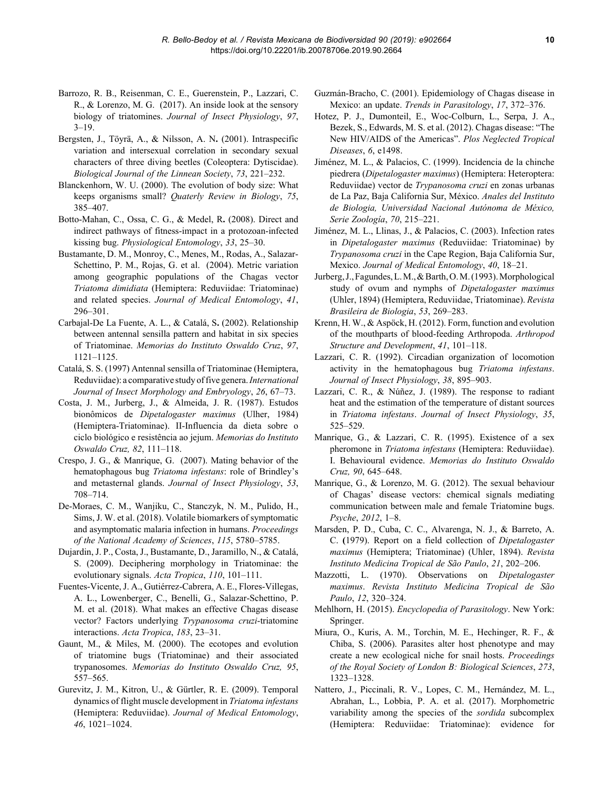- Barrozo, R. B., Reisenman, C. E., Guerenstein, P., Lazzari, C. R., & Lorenzo, M. G. (2017). An inside look at the sensory biology of triatomines. *Journal of Insect Physiology*, *97*,  $3 - 19$ .
- Bergsten, J., Töyrä, A., & Nilsson, A. N**.** (2001). Intraspecific variation and intersexual correlation in secondary sexual characters of three diving beetles (Coleoptera: Dytiscidae). *Biological Journal of the Linnean Society*, *73*, 221–232.
- Blanckenhorn, W. U. (2000). The evolution of body size: What keeps organisms small? *Quaterly Review in Biology*, *75*, 385–407.
- Botto-Mahan, C., Ossa, C. G., & Medel, R**.** (2008). Direct and indirect pathways of fitness-impact in a protozoan-infected kissing bug. *Physiological Entomology*, *33*, 25–30.
- Bustamante, D. M., Monroy, C., Menes, M., Rodas, A., Salazar-Schettino, P. M., Rojas, G. et al. (2004). Metric variation among geographic populations of the Chagas vector *Triatoma dimidiata* (Hemiptera: Reduviidae: Triatominae) and related species. *Journal of Medical Entomology*, *41*, 296–301.
- Carbajal-De La Fuente, A. L., & Catalá, S**.** (2002). Relationship between antennal sensilla pattern and habitat in six species of Triatominae. *Memorias do Instituto Oswaldo Cruz*, *97*, 1121–1125.
- Catalá, S. S. (1997) Antennal sensilla of Triatominae (Hemiptera, Reduviidae): a comparative study of five genera. *International Journal of Insect Morphology and Embryology*, *26*, 67–73.
- Costa, J. M., Jurberg, J., & Almeida, J. R. (1987). Estudos bionômicos de *Dipetalogaster maximus* (Ulher, 1984) (Hemiptera-Triatominae). II-Influencia da dieta sobre o ciclo biológico e resistência ao jejum. *Memorias do Instituto Oswaldo Cruz, 82*, 111–118.
- Crespo, J. G., & Manrique, G. (2007). Mating behavior of the hematophagous bug *Triatoma infestans*: role of Brindley's and metasternal glands. *Journal of Insect Physiology*, *53*, 708–714.
- De-Moraes, C. M., Wanjiku, C., Stanczyk, N. M., Pulido, H., Sims, J. W. et al. (2018). Volatile biomarkers of symptomatic and asymptomatic malaria infection in humans. *Proceedings of the National Academy of Sciences*, *115*, 5780–5785.
- Dujardin, J. P., Costa, J., Bustamante, D., Jaramillo, N., & Catalá, S. (2009). Deciphering morphology in Triatominae: the evolutionary signals. *Acta Tropica*, *110*, 101–111.
- Fuentes-Vicente, J. A., Gutiérrez-Cabrera, A. E., Flores-Villegas, A. L., Lowenberger, C., Benelli, G., Salazar-Schettino, P. M. et al. (2018). What makes an effective Chagas disease vector? Factors underlying *Trypanosoma cruzi*-triatomine interactions. *Acta Tropica*, *183*, 23–31.
- Gaunt, M., & Miles, M. (2000). The ecotopes and evolution of triatomine bugs (Triatominae) and their associated trypanosomes. *Memorias do Instituto Oswaldo Cruz, 95*, 557–565.
- Gurevitz, J. M., Kitron, U., & Gürtler, R. E. (2009). Temporal dynamics of flight muscle development in *Triatoma infestans* (Hemiptera: Reduviidae). *Journal of Medical Entomology*, *46*, 1021–1024.
- Guzmán-Bracho, C. (2001). Epidemiology of Chagas disease in Mexico: an update. *Trends in Parasitology*, *17*, 372–376.
- Hotez, P. J., Dumonteil, E., Woc-Colburn, L., Serpa, J. A., Bezek, S., Edwards, M. S. et al. (2012). Chagas disease: "The New HIV/AIDS of the Americas". *Plos Neglected Tropical Diseases*, *6*, e1498.
- Jiménez, M. L., & Palacios, C. (1999). Incidencia de la chinche piedrera (*Dipetalogaster maximus*) (Hemiptera: Heteroptera: Reduviidae) vector de *Trypanosoma cruzi* en zonas urbanas de La Paz, Baja California Sur, México. *Anales del Instituto de Biologia, Universidad Nacional Autónoma de México, Serie Zoología*, *70*, 215–221.
- Jiménez, M. L., Llinas, J., & Palacios, C. (2003). Infection rates in *Dipetalogaster maximus* (Reduviidae: Triatominae) by *Trypanosoma cruzi* in the Cape Region, Baja California Sur, Mexico. *Journal of Medical Entomology*, *40*, 18–21.
- Jurberg, J., Fagundes, L. M., & Barth, O. M. (1993). Morphological study of ovum and nymphs of *Dipetalogaster maximus* (Uhler, 1894) (Hemiptera, Reduviidae, Triatominae). *Revista Brasileira de Biologia*, *53*, 269–283.
- Krenn, H. W., & Aspöck, H. (2012). Form, function and evolution of the mouthparts of blood-feeding Arthropoda. *Arthropod Structure and Development*, *41*, 101–118.
- Lazzari, C. R. (1992). Circadian organization of locomotion activity in the hematophagous bug *Triatoma infestans*. *Journal of Insect Physiology*, *38*, 895–903.
- Lazzari, C. R., & Núñez, J. (1989). The response to radiant heat and the estimation of the temperature of distant sources in *Triatoma infestans*. *Journal of Insect Physiology*, *35*, 525–529.
- Manrique, G., & Lazzari, C. R. (1995). Existence of a sex pheromone in *Triatoma infestans* (Hemiptera: Reduviidae). I. Behavioural evidence. *Memorias do Instituto Oswaldo Cruz, 90*, 645–648.
- Manrique, G., & Lorenzo, M. G. (2012). The sexual behaviour of Chagas' disease vectors: chemical signals mediating communication between male and female Triatomine bugs. *Psyche*, *2012*, 1–8.
- Marsden, P. D., Cuba, C. C., Alvarenga, N. J., & Barreto, A. C. **(**1979). Report on a field collection of *Dipetalogaster maximus* (Hemiptera; Triatominae) (Uhler, 1894). *Revista Instituto Medicina Tropical de São Paulo*, *21*, 202–206.
- Mazzotti, L. (1970). Observations on *Dipetalogaster maximus*. *Revista Instituto Medicina Tropical de São Paulo*, *12*, 320–324.
- Mehlhorn, H. (2015). *Encyclopedia of Parasitology*. New York: Springer.
- Miura, O., Kuris, A. M., Torchin, M. E., Hechinger, R. F., & Chiba, S. (2006). Parasites alter host phenotype and may create a new ecological niche for snail hosts. *Proceedings of the Royal Society of London B: Biological Sciences*, *273*, 1323–1328.
- Nattero, J., Piccinali, R. V., Lopes, C. M., Hernández, M. L., Abrahan, L., Lobbia, P. A. et al. (2017). Morphometric variability among the species of the *sordida* subcomplex (Hemiptera: Reduviidae: Triatominae): evidence for